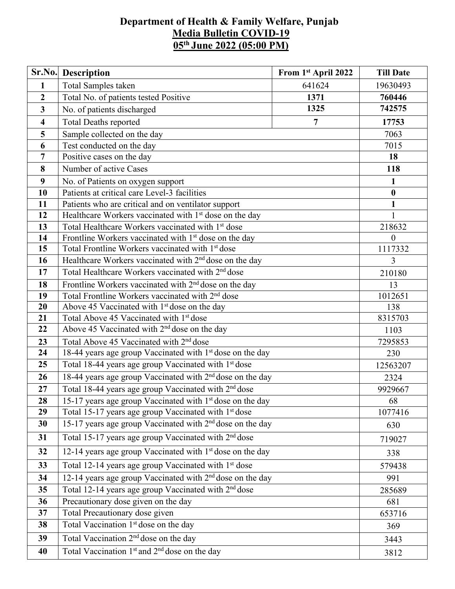## **Department of Health & Family Welfare, Punjab Media Bulletin COVID-19 05 th June 2022 (05:00 PM)**

| Sr.No.                  | <b>Description</b>                                                           | From 1st April 2022 | <b>Till Date</b> |  |  |  |
|-------------------------|------------------------------------------------------------------------------|---------------------|------------------|--|--|--|
| $\mathbf{1}$            | Total Samples taken                                                          | 641624              | 19630493         |  |  |  |
| $\overline{2}$          | Total No. of patients tested Positive                                        | 760446              |                  |  |  |  |
| $\mathbf{3}$            | No. of patients discharged                                                   | 742575              |                  |  |  |  |
| $\overline{\mathbf{4}}$ | <b>Total Deaths reported</b>                                                 | 17753               |                  |  |  |  |
| 5                       | $\overline{7}$<br>Sample collected on the day                                |                     |                  |  |  |  |
| 6                       | Test conducted on the day                                                    |                     |                  |  |  |  |
| $\overline{7}$          | Positive cases on the day                                                    |                     | 18               |  |  |  |
| 8                       | Number of active Cases                                                       |                     | 118              |  |  |  |
| 9                       | No. of Patients on oxygen support                                            |                     | 1                |  |  |  |
| 10                      | Patients at critical care Level-3 facilities                                 |                     | $\boldsymbol{0}$ |  |  |  |
| 11                      | Patients who are critical and on ventilator support                          |                     | $\mathbf{1}$     |  |  |  |
| 12                      | Healthcare Workers vaccinated with 1 <sup>st</sup> dose on the day           |                     | $\mathbf{1}$     |  |  |  |
| 13                      | Total Healthcare Workers vaccinated with 1 <sup>st</sup> dose                |                     | 218632           |  |  |  |
| 14                      | Frontline Workers vaccinated with 1 <sup>st</sup> dose on the day            |                     | $\overline{0}$   |  |  |  |
| 15                      | Total Frontline Workers vaccinated with 1 <sup>st</sup> dose                 | 1117332             |                  |  |  |  |
| 16                      | Healthcare Workers vaccinated with 2 <sup>nd</sup> dose on the day           |                     |                  |  |  |  |
| 17                      | Total Healthcare Workers vaccinated with 2 <sup>nd</sup> dose                |                     |                  |  |  |  |
| 18                      | Frontline Workers vaccinated with 2 <sup>nd</sup> dose on the day            |                     |                  |  |  |  |
| 19                      | Total Frontline Workers vaccinated with 2 <sup>nd</sup> dose                 |                     |                  |  |  |  |
| 20                      | Above 45 Vaccinated with 1 <sup>st</sup> dose on the day                     |                     |                  |  |  |  |
| 21                      | Total Above 45 Vaccinated with 1st dose                                      |                     |                  |  |  |  |
| 22                      | Above 45 Vaccinated with 2 <sup>nd</sup> dose on the day                     |                     |                  |  |  |  |
| 23                      | Total Above 45 Vaccinated with 2 <sup>nd</sup> dose                          |                     |                  |  |  |  |
| 24                      | 18-44 years age group Vaccinated with 1 <sup>st</sup> dose on the day        |                     |                  |  |  |  |
| 25                      | Total 18-44 years age group Vaccinated with 1 <sup>st</sup> dose             |                     |                  |  |  |  |
| 26                      | 18-44 years age group Vaccinated with 2 <sup>nd</sup> dose on the day        | 2324                |                  |  |  |  |
| 27                      | Total 18-44 years age group Vaccinated with 2 <sup>nd</sup> dose             | 9929667             |                  |  |  |  |
| 28                      | 15-17 years age group Vaccinated with $1st$ dose on the day                  | 68                  |                  |  |  |  |
| 29                      | Total 15-17 years age group Vaccinated with 1 <sup>st</sup> dose<br>1077416  |                     |                  |  |  |  |
| 30                      | 15-17 years age group Vaccinated with 2 <sup>nd</sup> dose on the day<br>630 |                     |                  |  |  |  |
| 31                      | Total 15-17 years age group Vaccinated with 2 <sup>nd</sup> dose<br>719027   |                     |                  |  |  |  |
| 32                      | 12-14 years age group Vaccinated with 1 <sup>st</sup> dose on the day        |                     |                  |  |  |  |
| 33                      | Total 12-14 years age group Vaccinated with 1 <sup>st</sup> dose             |                     |                  |  |  |  |
| 34                      | 12-14 years age group Vaccinated with 2 <sup>nd</sup> dose on the day        |                     |                  |  |  |  |
| 35                      | Total 12-14 years age group Vaccinated with 2 <sup>nd</sup> dose<br>285689   |                     |                  |  |  |  |
| 36                      | Precautionary dose given on the day                                          |                     |                  |  |  |  |
| 37                      | Total Precautionary dose given                                               |                     |                  |  |  |  |
| 38                      | Total Vaccination 1 <sup>st</sup> dose on the day                            |                     | 369              |  |  |  |
| 39                      | Total Vaccination 2 <sup>nd</sup> dose on the day                            |                     | 3443             |  |  |  |
| 40                      | Total Vaccination 1 <sup>st</sup> and 2 <sup>nd</sup> dose on the day        |                     | 3812             |  |  |  |
|                         |                                                                              |                     |                  |  |  |  |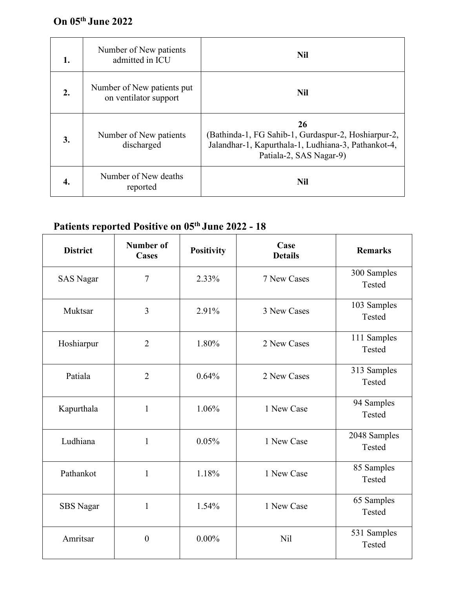## **On 05 th June 2022**

| 1. | Number of New patients<br>admitted in ICU           | <b>Nil</b>                                                                                                                                  |
|----|-----------------------------------------------------|---------------------------------------------------------------------------------------------------------------------------------------------|
| 2. | Number of New patients put<br>on ventilator support | <b>Nil</b>                                                                                                                                  |
| 3. | Number of New patients<br>discharged                | 26<br>(Bathinda-1, FG Sahib-1, Gurdaspur-2, Hoshiarpur-2,<br>Jalandhar-1, Kapurthala-1, Ludhiana-3, Pathankot-4,<br>Patiala-2, SAS Nagar-9) |
| 4. | Number of New deaths<br>reported                    | <b>Nil</b>                                                                                                                                  |

## **Patients reported Positive on 05 th June 2022 - 18**

| <b>District</b>  | <b>Number of</b><br><b>Positivity</b><br><b>Cases</b> |          | Case<br><b>Details</b> | <b>Remarks</b>         |  |
|------------------|-------------------------------------------------------|----------|------------------------|------------------------|--|
| <b>SAS Nagar</b> | $\overline{7}$                                        | 2.33%    | 7 New Cases            | 300 Samples<br>Tested  |  |
| Muktsar          | $\overline{3}$                                        | 2.91%    | 3 New Cases            | 103 Samples<br>Tested  |  |
| Hoshiarpur       | $\overline{2}$                                        | 1.80%    | 2 New Cases            | 111 Samples<br>Tested  |  |
| Patiala          | $\overline{2}$                                        | 0.64%    | 2 New Cases            | 313 Samples<br>Tested  |  |
| Kapurthala       | $\mathbf{1}$                                          | 1.06%    | 1 New Case             | 94 Samples<br>Tested   |  |
| Ludhiana         | $\mathbf{1}$                                          | 0.05%    | 1 New Case             | 2048 Samples<br>Tested |  |
| Pathankot        | $\mathbf{1}$                                          | 1.18%    | 1 New Case             | 85 Samples<br>Tested   |  |
| <b>SBS</b> Nagar | $\mathbf{1}$                                          | 1.54%    | 1 New Case             | 65 Samples<br>Tested   |  |
| Amritsar         | $\boldsymbol{0}$                                      | $0.00\%$ | Nil                    | 531 Samples<br>Tested  |  |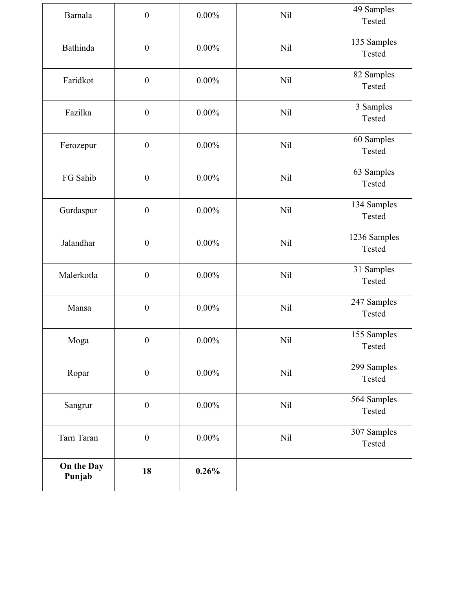| Barnala              | $\boldsymbol{0}$ | $0.00\%$ | <b>Nil</b> | 49 Samples<br>Tested   |
|----------------------|------------------|----------|------------|------------------------|
| Bathinda             | $\boldsymbol{0}$ | $0.00\%$ | <b>Nil</b> | 135 Samples<br>Tested  |
| Faridkot             | $\boldsymbol{0}$ | $0.00\%$ | Nil        | 82 Samples<br>Tested   |
| Fazilka              | $\boldsymbol{0}$ | $0.00\%$ | <b>Nil</b> | 3 Samples<br>Tested    |
| Ferozepur            | $\boldsymbol{0}$ | $0.00\%$ | <b>Nil</b> | 60 Samples<br>Tested   |
| FG Sahib             | $\boldsymbol{0}$ | $0.00\%$ | <b>Nil</b> | 63 Samples<br>Tested   |
| Gurdaspur            | $\boldsymbol{0}$ | $0.00\%$ | <b>Nil</b> | 134 Samples<br>Tested  |
| Jalandhar            | $\boldsymbol{0}$ | $0.00\%$ | Nil        | 1236 Samples<br>Tested |
| Malerkotla           | $\boldsymbol{0}$ | $0.00\%$ | <b>Nil</b> | 31 Samples<br>Tested   |
| Mansa                | $\boldsymbol{0}$ | $0.00\%$ | <b>Nil</b> | 247 Samples<br>Tested  |
| Moga                 | $\boldsymbol{0}$ | $0.00\%$ | <b>Nil</b> | 155 Samples<br>Tested  |
| Ropar                | $\boldsymbol{0}$ | $0.00\%$ | <b>Nil</b> | 299 Samples<br>Tested  |
| Sangrur              | $\boldsymbol{0}$ | $0.00\%$ | Nil        | 564 Samples<br>Tested  |
| Tarn Taran           | $\boldsymbol{0}$ | $0.00\%$ | <b>Nil</b> | 307 Samples<br>Tested  |
| On the Day<br>Punjab | 18               | 0.26%    |            |                        |
|                      |                  |          |            |                        |